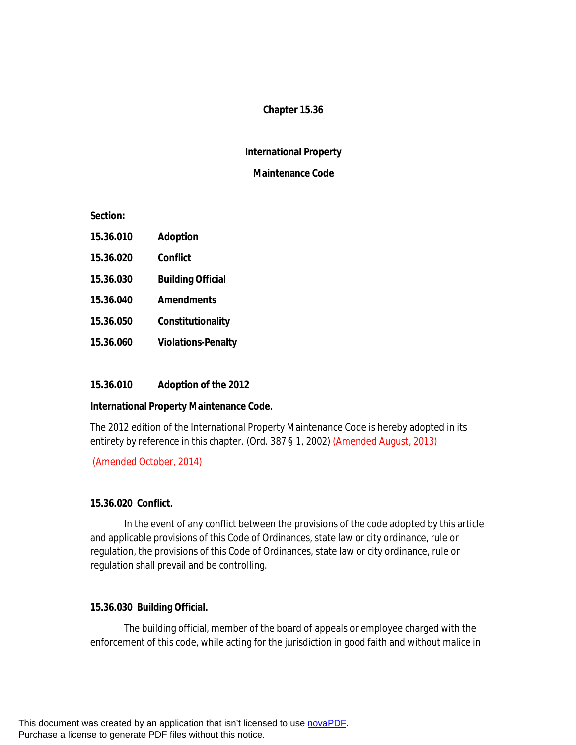# **Chapter 15.36**

## **International Property**

### **Maintenance Code**

**Section:**

| 15.36.010 | <b>Adoption</b>           |
|-----------|---------------------------|
| 15.36.020 | Confiict                  |
| 15.36.030 | <b>Building Official</b>  |
| 15.36.040 | <b>Amendments</b>         |
| 15.36.050 | Constitutionality         |
| 15.36.060 | <b>Violations-Penalty</b> |

## **15.36.010 Adoption of the 2012**

#### **International Property Maintenance Code.**

The 2012 edition of the International Property Maintenance Code is hereby adopted in its entirety by reference in this chapter. (Ord. 387 § 1, 2002) (Amended August, 2013)

(Amended October, 2014)

### **15.36.020 Conflict.**

In the event of any conflict between the provisions of the code adopted by this article and applicable provisions of this Code of Ordinances, state law or city ordinance, rule or regulation, the provisions of this Code of Ordinances, state law or city ordinance, rule or regulation shall prevail and be controlling.

#### **15.36.030 Building Official.**

The building official, member of the board of appeals or employee charged with the enforcement of this code, while acting for the jurisdiction in good faith and without malice in